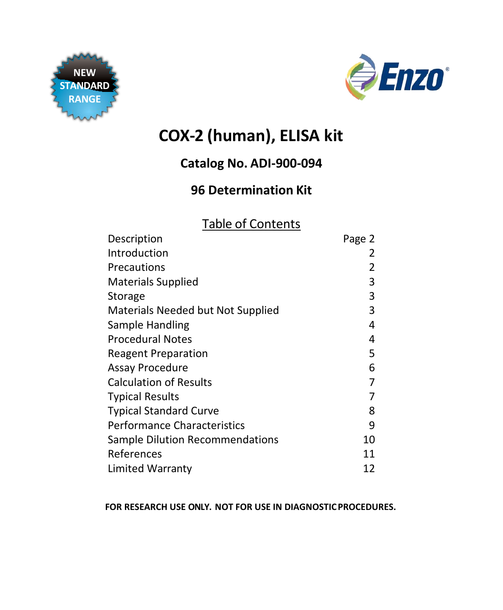



# **COX-2 (human), ELISA kit**

## **Catalog No. ADI-900-094**

## **96 Determination Kit**

## Table of Contents

| Description                            | Page 2 |
|----------------------------------------|--------|
| Introduction                           |        |
| Precautions                            | 2      |
| <b>Materials Supplied</b>              | 3      |
| Storage                                | 3      |
| Materials Needed but Not Supplied      | 3      |
| Sample Handling                        | 4      |
| <b>Procedural Notes</b>                | 4      |
| <b>Reagent Preparation</b>             | 5      |
| Assay Procedure                        | 6      |
| <b>Calculation of Results</b>          | 7      |
| <b>Typical Results</b>                 | 7      |
| <b>Typical Standard Curve</b>          | 8      |
| <b>Performance Characteristics</b>     | 9      |
| <b>Sample Dilution Recommendations</b> | 10     |
| References                             | 11     |
| <b>Limited Warranty</b>                | 12     |
|                                        |        |

#### **FOR RESEARCH USE ONLY. NOT FOR USE IN DIAGNOSTICPROCEDURES.**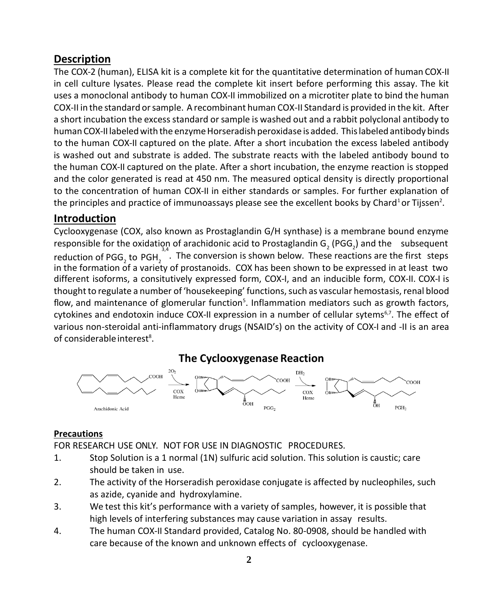### **Description**

The COX-2 (human), ELISA kit is a complete kit for the quantitative determination of human COX-II in cell culture lysates. Please read the complete kit insert before performing this assay. The kit uses a monoclonal antibody to human COX-II immobilized on a microtiter plate to bind the human COX-II in the standard orsample. Arecombinant human COX-II Standard is provided in the kit. After a short incubation the excess standard or sample is washed out and a rabbit polyclonal antibody to human COX-II labeled with the enzyme Horseradish peroxidase is added. This labeled antibody binds to the human COX-II captured on the plate. After a short incubation the excess labeled antibody is washed out and substrate is added. The substrate reacts with the labeled antibody bound to the human COX-II captured on the plate. After a short incubation, the enzyme reaction is stopped and the color generated is read at 450 nm. The measured optical density is directly proportional to the concentration of human COX-II in either standards or samples. For further explanation of the principles and practice of immunoassays please see the excellent books by Chard<sup>1</sup>or Tijssen<sup>2</sup>.

#### <span id="page-1-0"></span>**Introduction**

Cyclooxygenase (COX, also known as Prostaglandin G/H synthase) is a membrane bound enzyme responsible for the oxidation of arachidonic acid to Prostaglandin G<sub>2</sub> (PGG<sub>2</sub>) and the subsequent reduction of PGG<sub>2</sub> to PGH<sub>2</sub><sup>3,4</sup>. The conversion is shown below. These reactions are the first steps in the formation of a variety of prostanoids. COX has been shown to be expressed in at least two different isoforms, a consitutively expressed form, COX-I, and an inducible form, COX-II. COX-I is thought to regulate a number of 'housekeeping' functions, such as vascular hemostasis, renal blood flow, and maintenance of glomerular function<sup>5</sup>. Inflammation mediators such as growth factors, cytokines and endotoxin induce COX-II expression in a number of cellular sytems<sup>6,7</sup>. The effect of various non-steroidal anti-inflammatory drugs (NSAID's) on the activity of COX-I and -II is an area of considerable interest<sup>8</sup>.

**The Cyclooxygenase Reaction**



#### <span id="page-1-1"></span>**Precautions**

FOR RESEARCH USE ONLY. NOT FOR USE IN DIAGNOSTIC PROCEDURES.

- 1. Stop Solution is a 1 normal (1N) sulfuric acid solution. This solution is caustic; care should be taken in use.
- 2. The activity of the Horseradish peroxidase conjugate is affected by nucleophiles, such as azide, cyanide and hydroxylamine.
- 3. We test this kit's performance with a variety of samples, however, it is possible that high levels of interfering substances may cause variation in assay results.
- 4. The human COX-II Standard provided, Catalog No. 80-0908, should be handled with care because of the known and unknown effects of cyclooxygenase.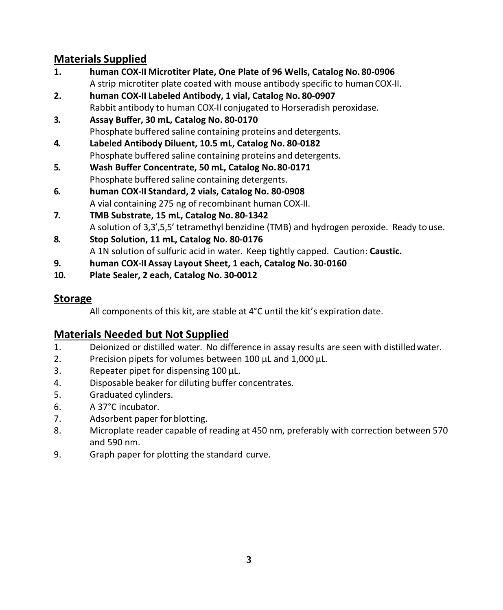## <span id="page-2-0"></span>**Materials Supplied**

- **1. human COX-II Microtiter Plate, One Plate of 96 Wells, Catalog No. 80-0906** A strip microtiter plate coated with mouse antibody specific to human COX-II.
- **2. human COX-II Labeled Antibody, 1 vial, Catalog No. 80-0907** Rabbit antibody to human COX-II conjugated to Horseradish peroxidase.
- **3. Assay Buffer, 30 mL, Catalog No. 80-0170** Phosphate buffered saline containing proteins and detergents.
- **4. Labeled Antibody Diluent, 10.5 mL, Catalog No. 80-0182** Phosphate buffered saline containing proteins and detergents.
- **5. Wash Buffer Concentrate, 50 mL, Catalog No.80-0171** Phosphate buffered saline containing detergents.
- **6. human COX-II Standard, 2 vials, Catalog No. 80-0908** A vial containing 275 ng of recombinant human COX-II.
- **7. TMB Substrate, 15 mL, Catalog No. 80-1342** A solution of 3,3',5,5' tetramethyl benzidine (TMB) and hydrogen peroxide. Ready to use.
- **8. Stop Solution, 11 mL, Catalog No. 80-0176** A 1N solution of sulfuric acid in water. Keep tightly capped. Caution: **Caustic.**
- **9. human COX-II Assay Layout Sheet, 1 each, Catalog No.30-0160**
- **10. Plate Sealer, 2 each, Catalog No. 30-0012**

## <span id="page-2-1"></span>**Storage**

All components of this kit, are stable at 4°C until the kit's expiration date.

## <span id="page-2-2"></span>**Materials Needed but Not Supplied**

- 1. Deionized or distilled water. No difference in assay results are seen with distilledwater.
- 2. Precision pipets for volumes between 100 µL and 1,000 µL.
- 3. Repeater pipet for dispensing 100 µL.
- 4. Disposable beaker for diluting buffer concentrates.
- 5. Graduated cylinders.
- 6. A 37°C incubator.
- 7. Adsorbent paper for blotting.
- 8. Microplate reader capable of reading at 450 nm, preferably with correction between 570 and 590 nm.
- 9. Graph paper for plotting the standard curve.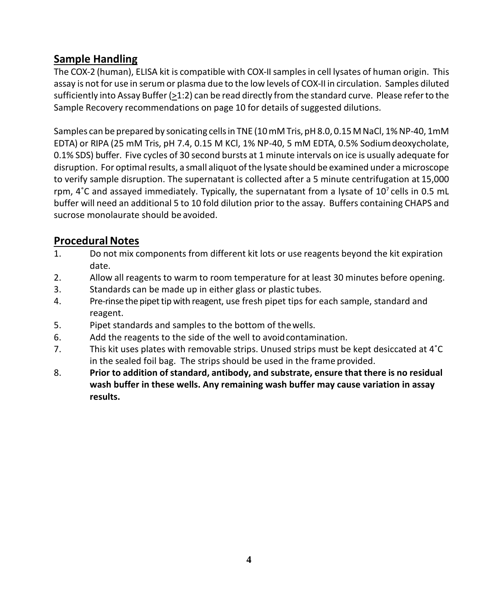## <span id="page-3-0"></span>**Sample Handling**

The COX-2 (human), ELISA kit is compatible with COX-II samples in cell lysates of human origin. This assay is not for use in serum or plasma due to the low levels of COX-II in circulation. Samples diluted sufficiently into Assay Buffer (>1:2) can be read directly from the standard curve. Please refer to the Sample Recovery recommendations on page 10 for details of suggested dilutions.

Samples can be prepared by sonicating cells in TNE (10 mM Tris, pH 8.0, 0.15 M NaCl, 1% NP-40, 1mM EDTA) or RIPA (25 mM Tris, pH 7.4, 0.15 M KCl, 1% NP-40, 5 mM EDTA, 0.5% Sodiumdeoxycholate, 0.1% SDS) buffer. Five cycles of 30 second bursts at 1 minute intervals on ice is usually adequate for disruption. For optimal results, a small aliquot of the lysate should be examined under a microscope to verify sample disruption. The supernatant is collected after a 5 minute centrifugation at 15,000 rpm,  $4^{\circ}$ C and assayed immediately. Typically, the supernatant from a lysate of 10<sup>7</sup> cells in 0.5 mL buffer will need an additional 5 to 10 fold dilution prior to the assay. Buffers containing CHAPS and sucrose monolaurate should be avoided.

## <span id="page-3-1"></span>**Procedural Notes**

- 1. Do not mix components from different kit lots or use reagents beyond the kit expiration date.
- 2. Allow all reagents to warm to room temperature for at least 30 minutes before opening.
- 3. Standards can be made up in either glass or plastic tubes.
- 4. Pre-rinsethepipettip with reagent, use fresh pipet tips for each sample, standard and reagent.
- 5. Pipet standards and samples to the bottom of thewells.
- 6. Add the reagents to the side of the well to avoidcontamination.
- 7. This kit uses plates with removable strips. Unused strips must be kept desiccated at 4˚C in the sealed foil bag. The strips should be used in the frame provided.
- 8. **Prior to addition of standard, antibody, and substrate, ensure that there is no residual wash buffer in these wells. Any remaining wash buffer may cause variation in assay results.**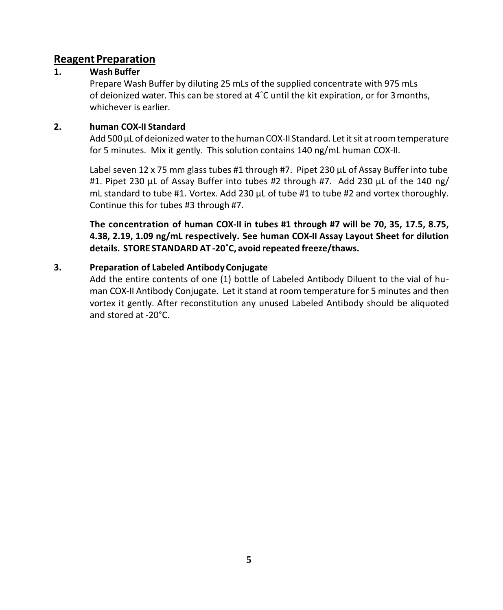### <span id="page-4-0"></span>**Reagent Preparation**

#### **1. WashBuffer**

Prepare Wash Buffer by diluting 25 mLs of the supplied concentrate with 975 mLs of deionized water. This can be stored at 4˚C until the kit expiration, or for 3months, whichever is earlier.

#### **2. human COX-II Standard**

Add 500 µL of deionized water to the human COX-II Standard. Let it sit at room temperature for 5 minutes. Mix it gently. This solution contains 140 ng/mL human COX-II.

Label seven 12 x 75 mm glass tubes #1 through #7. Pipet 230 µL of Assay Buffer into tube #1. Pipet 230 µL of Assay Buffer into tubes #2 through #7. Add 230 µL of the 140 ng/ mL standard to tube #1. Vortex. Add 230  $\mu$ L of tube #1 to tube #2 and vortex thoroughly. Continue this for tubes #3 through #7.

**The concentration of human COX-II in tubes #1 through #7 will be 70, 35, 17.5, 8.75, 4.38, 2.19, 1.09 ng/mL respectively. See human COX-II Assay Layout Sheet for dilution details. STORE STANDARD AT -20˚C, avoid repeated freeze/thaws.**

#### **3. Preparation of Labeled AntibodyConjugate**

Add the entire contents of one (1) bottle of Labeled Antibody Diluent to the vial of human COX-II Antibody Conjugate. Let it stand at room temperature for 5 minutes and then vortex it gently. After reconstitution any unused Labeled Antibody should be aliquoted and stored at -20°C.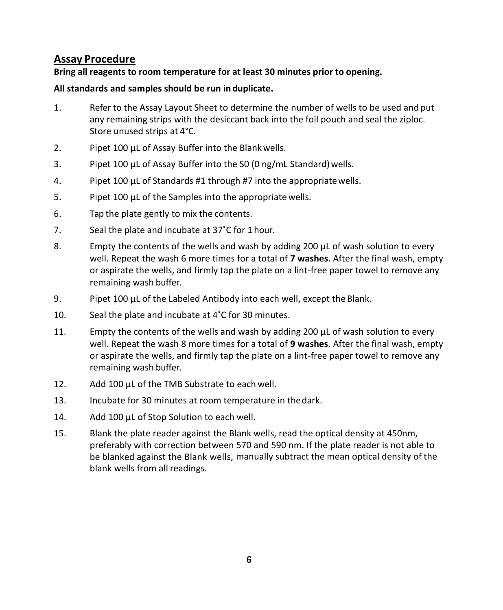## <span id="page-5-0"></span>**Assay Procedure**

#### **Bring all reagents to room temperature for at least 30 minutes prior to opening.**

#### **All standards and samples should be run induplicate.**

- 1. Refer to the Assay Layout Sheet to determine the number of wells to be used and put any remaining strips with the desiccant back into the foil pouch and seal the ziploc. Store unused strips at 4°C.
- 2. Pipet 100 µL of Assay Buffer into the Blank wells.
- 3. Pipet 100 µL of Assay Buffer into the SO (0 ng/mL Standard) wells.
- 4. Pipet 100 µL of Standards #1 through #7 into the appropriatewells.
- 5. Pipet 100 µL of the Samples into the appropriate wells.
- 6. Tap the plate gently to mix the contents.
- 7. Seal the plate and incubate at 37˚C for 1 hour.
- 8. Empty the contents of the wells and wash by adding 200 µL of wash solution to every well. Repeat the wash 6 more times for a total of **7 washes**. After the final wash, empty or aspirate the wells, and firmly tap the plate on a lint-free paper towel to remove any remaining wash buffer.
- 9. Pipet 100 µL of the Labeled Antibody into each well, except the Blank.
- 10. Seal the plate and incubate at 4˚C for 30 minutes.
- 11. Empty the contents of the wells and wash by adding 200 µL of wash solution to every well. Repeat the wash 8 more times for a total of **9 washes**. After the final wash, empty or aspirate the wells, and firmly tap the plate on a lint-free paper towel to remove any remaining wash buffer.
- 12. Add 100 µL of the TMB Substrate to each well.
- 13. Incubate for 30 minutes at room temperature in thedark.
- 14. Add 100 µL of Stop Solution to each well.
- 15. Blank the plate reader against the Blank wells, read the optical density at 450nm, preferably with correction between 570 and 590 nm. If the plate reader is not able to be blanked against the Blank wells, manually subtract the mean optical density of the blank wells from all readings.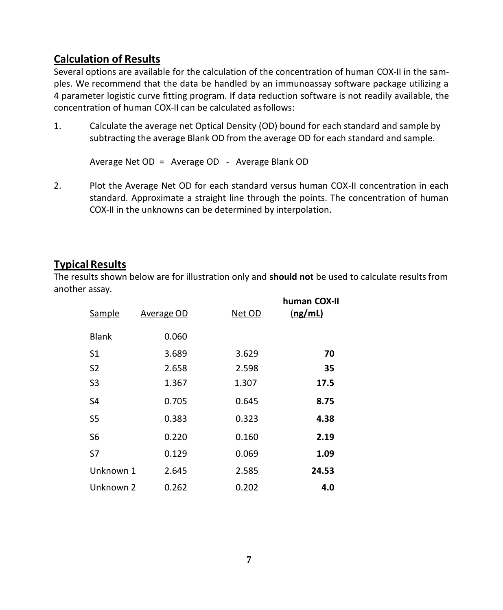## <span id="page-6-0"></span>**Calculation of Results**

Several options are available for the calculation of the concentration of human COX-II in the samples. We recommend that the data be handled by an immunoassay software package utilizing a 4 parameter logistic curve fitting program. If data reduction software is not readily available, the concentration of human COX-II can be calculated asfollows:

1. Calculate the average net Optical Density (OD) bound for each standard and sample by subtracting the average Blank OD from the average OD for each standard and sample.

Average Net OD = Average OD - Average Blank OD

2. Plot the Average Net OD for each standard versus human COX-II concentration in each standard. Approximate a straight line through the points. The concentration of human COX-II in the unknowns can be determined by interpolation.

### <span id="page-6-1"></span>**Typical Results**

The results shown below are for illustration only and **should not** be used to calculate resultsfrom another assay.

| Sample         | <b>Average OD</b> | Net OD | human COX-II<br>(ng/mL) |
|----------------|-------------------|--------|-------------------------|
| <b>Blank</b>   | 0.060             |        |                         |
| S1             | 3.689             | 3.629  | 70                      |
| S2             | 2.658             | 2.598  | 35                      |
| S <sub>3</sub> | 1.367             | 1.307  | 17.5                    |
| S4             | 0.705             | 0.645  | 8.75                    |
| S <sub>5</sub> | 0.383             | 0.323  | 4.38                    |
| S <sub>6</sub> | 0.220             | 0.160  | 2.19                    |
| S7             | 0.129             | 0.069  | 1.09                    |
| Unknown 1      | 2.645             | 2.585  | 24.53                   |
| Unknown 2      | 0.262             | 0.202  | 4.0                     |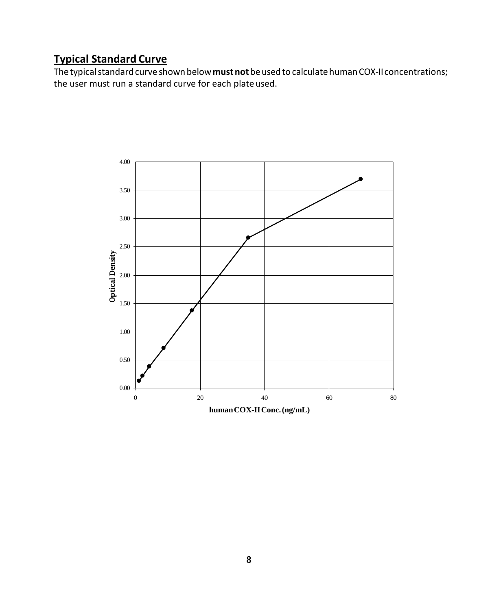## <span id="page-7-0"></span>**Typical Standard Curve**

The typical standard curve shown below **must not** be used to calculate human COX-II concentrations; the user must run a standard curve for each plate used.

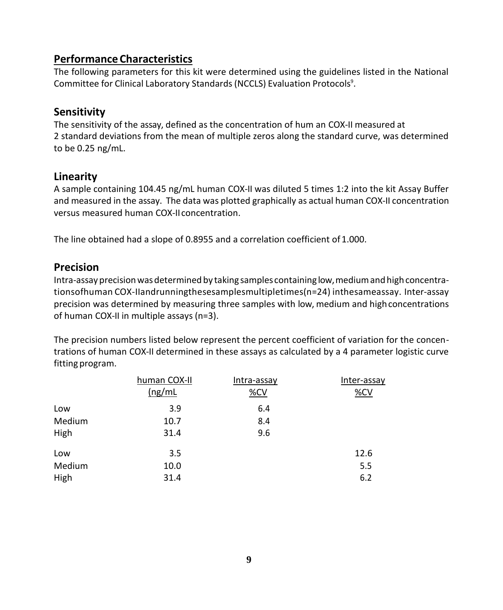## <span id="page-8-0"></span>**Performance Characteristics**

The following parameters for this kit were determined using the guidelines listed in the National Committee for Clinical Laboratory Standards (NCCLS) Evaluation Protocols<sup>9</sup>.

## **Sensitivity**

The sensitivity of the assay, defined as the concentration of hum an COX-II measured at 2 standard deviations from the mean of multiple zeros along the standard curve, was determined to be 0.25 ng/mL.

## **Linearity**

A sample containing 104.45 ng/mL human COX-II was diluted 5 times 1:2 into the kit Assay Buffer and measured in the assay. The data was plotted graphically as actual human COX-II concentration versus measured human COX-II concentration.

The line obtained had a slope of 0.8955 and a correlation coefficient of 1.000.

## **Precision**

Intra-assayprecisionwasdetermined by taking samples containing low,mediumandhighconcentrationsofhuman COX-IIandrunningthesesamplesmultipletimes(n=24) inthesameassay. Inter-assay precision was determined by measuring three samples with low, medium and high concentrations of human COX-II in multiple assays (n=3).

The precision numbers listed below represent the percent coefficient of variation for the concentrations of human COX-II determined in these assays as calculated by a 4 parameter logistic curve fitting program.

|        | human COX-II | Intra-assay | Inter-assay |
|--------|--------------|-------------|-------------|
|        | (ng/mL)      | %CV         | %CV         |
| Low    | 3.9          | 6.4         |             |
| Medium | 10.7         | 8.4         |             |
| High   | 31.4         | 9.6         |             |
| Low    | 3.5          |             | 12.6        |
| Medium | 10.0         |             | 5.5         |
| High   | 31.4         |             | 6.2         |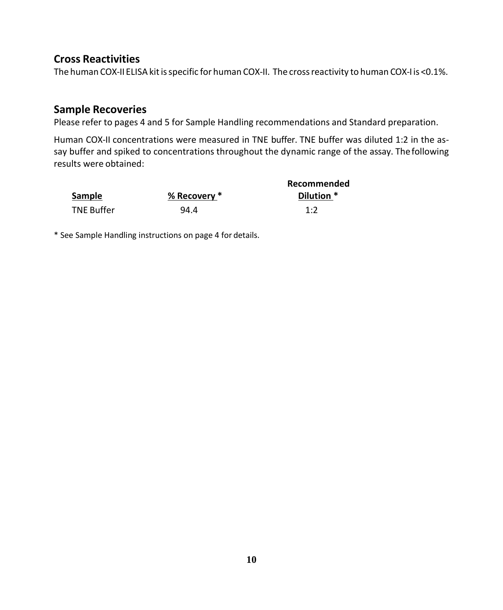### **Cross Reactivities**

The human COX-II ELISA kit is specific for human COX-II. The cross reactivity to human COX-I is <0.1%.

### **Sample Recoveries**

Please refer to pages 4 and 5 for Sample Handling recommendations and Standard preparation.

Human COX-II concentrations were measured in TNE buffer. TNE buffer was diluted 1:2 in the assay buffer and spiked to concentrations throughout the dynamic range of the assay. Thefollowing results were obtained:

|                   |              | Recommended |
|-------------------|--------------|-------------|
| <b>Sample</b>     | % Recovery * | Dilution *  |
| <b>TNE Buffer</b> | 94.4         | 1.7         |

\* See Sample Handling instructions on page 4 for details.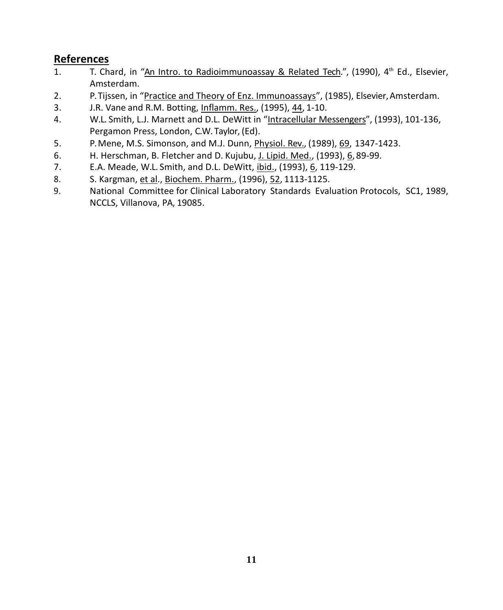## <span id="page-10-0"></span>**References**

- 1. T. Chard, in "An Intro. to Radioimmunoassay & Related Tech.", (1990), 4th Ed., Elsevier, Amsterdam.
- 2. P. Tijssen, in "Practice and Theory of Enz. Immunoassays", (1985), Elsevier, Amsterdam.
- 3. J.R. Vane and R.M. Botting, Inflamm. Res., (1995), 44, 1-10.
- 4. W.L. Smith, L.J. Marnett and D.L. DeWitt in "Intracellular Messengers", (1993), 101-136, Pergamon Press, London, C.W. Taylor, (Ed).
- 5. P. Mene, M.S. Simonson, and M.J. Dunn, Physiol. Rev., (1989), 69, 1347-1423.
- 6. H. Herschman, B. Fletcher and D. Kujubu, J. Lipid. Med., (1993), 6, 89-99.
- 7. E.A. Meade, W.L. Smith, and D.L. DeWitt, ibid., (1993), 6, 119-129.
- 8. S. Kargman, et al., Biochem. Pharm., (1996), 52, 1113-1125.
- 9. National Committee for Clinical Laboratory Standards Evaluation Protocols, SC1, 1989, NCCLS, Villanova, PA, 19085.